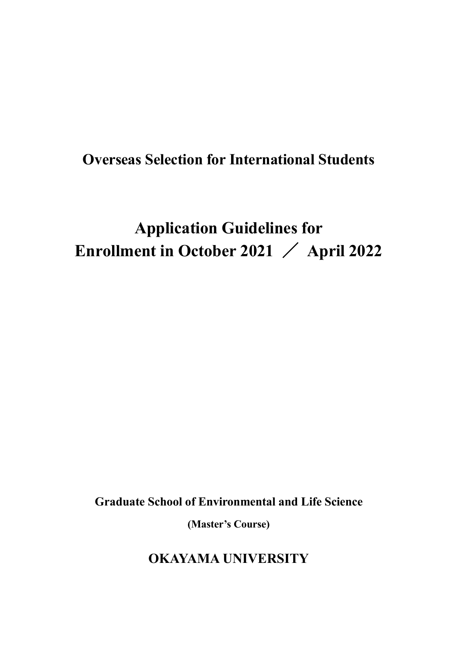# **Overseas Selection for International Students**

# **Application Guidelines for Enrollment in October 2021** / **April 2022**

**Graduate School of Environmental and Life Science**

**(Master's Course)**

**OKAYAMA UNIVERSITY**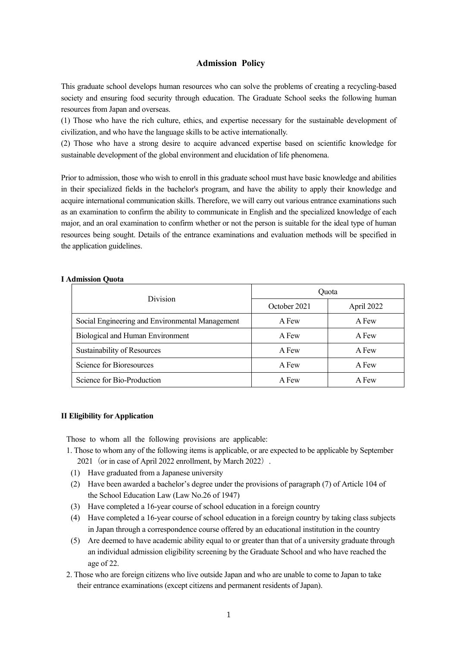#### **Admission Policy**

This graduate school develops human resources who can solve the problems of creating a recycling-based society and ensuring food security through education. The Graduate School seeks the following human resources from Japan and overseas.

(1) Those who have the rich culture, ethics, and expertise necessary for the sustainable development of civilization, and who have the language skills to be active internationally.

(2) Those who have a strong desire to acquire advanced expertise based on scientific knowledge for sustainable development of the global environment and elucidation of life phenomena.

Prior to admission, those who wish to enroll in this graduate school must have basic knowledge and abilities in their specialized fields in the bachelor's program, and have the ability to apply their knowledge and acquire international communication skills. Therefore, we will carry out various entrance examinations such as an examination to confirm the ability to communicate in English and the specialized knowledge of each major, and an oral examination to confirm whether or not the person is suitable for the ideal type of human resources being sought. Details of the entrance examinations and evaluation methods will be specified in the application guidelines.

#### **I Admission Quota**

| <b>Division</b>                                 | Ouota        |            |  |
|-------------------------------------------------|--------------|------------|--|
|                                                 | October 2021 | April 2022 |  |
| Social Engineering and Environmental Management | A Few        | A Few      |  |
| Biological and Human Environment                | A Few        | A Few      |  |
| Sustainability of Resources                     | A Few        | A Few      |  |
| Science for Bioresources                        | A Few        | A Few      |  |
| Science for Bio-Production                      | A Few        | A Few      |  |

#### **II Eligibility forApplication**

Those to whom all the following provisions are applicable:

- 1. Those to whom any of the following items is applicable, or are expected to be applicable by September 2021 (or in case of April 2022 enrollment, by March 2022).
- (1) Have graduated from a Japanese university
- (2) Have been awarded a bachelor's degree under the provisions of paragraph (7) of Article 104 of the School Education Law (Law No.26 of 1947)
- (3) Have completed a 16-year course of school education in a foreign country
- (4) Have completed a 16-year course of school education in a foreign country by taking class subjects in Japan through a correspondence course offered by an educational institution in the country
- (5) Are deemed to have academic ability equal to or greater than that of a university graduate through an individual admission eligibility screening by the Graduate School and who have reached the age of 22.
- 2. Those who are foreign citizens who live outside Japan and who are unable to come to Japan to take their entrance examinations (except citizens and permanent residents of Japan).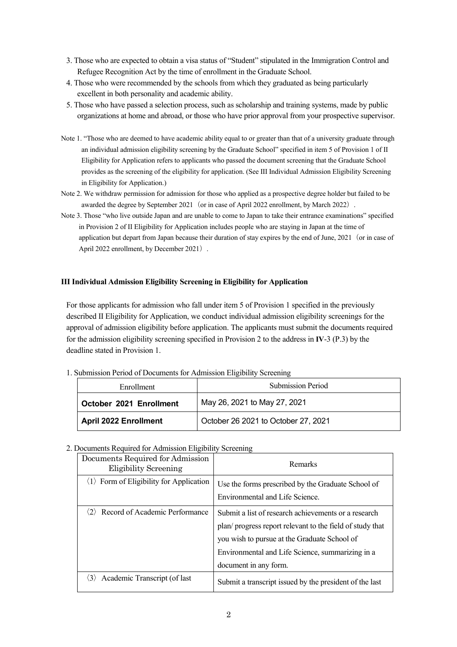- 3. Those who are expected to obtain a visa status of "Student" stipulated in the Immigration Control and Refugee Recognition Act by the time of enrollment in the Graduate School.
- 4. Those who were recommended by the schools from which they graduated as being particularly excellent in both personality and academic ability.
- 5. Those who have passed a selection process, such as scholarship and training systems, made by public organizations at home and abroad, or those who have prior approval from your prospective supervisor.
- Note 1. "Those who are deemed to have academic ability equal to or greater than that of a university graduate through an individual admission eligibility screening by the Graduate School" specified in item 5 of Provision 1 of II Eligibility for Application refers to applicants who passed the document screening that the Graduate School provides as the screening of the eligibility for application. (See III Individual Admission Eligibility Screening in Eligibility for Application.)
- Note 2. We withdraw permission for admission for those who applied as a prospective degree holder but failed to be awarded the degree by September 2021 (or in case of April 2022 enrollment, by March 2022).
- Note 3. Those "who live outside Japan and are unable to come to Japan to take their entrance examinations" specified in Provision 2 of II Eligibility for Application includes people who are staying in Japan at the time of application but depart from Japan because their duration of stay expires by the end of June, 2021 (or in case of April 2022 enrollment, by December 2021).

#### **III Individual Admission Eligibility Screening in Eligibility for Application**

For those applicants for admission who fall under item 5 of Provision 1 specified in the previously described II Eligibility for Application, we conduct individual admission eligibility screenings for the approval of admission eligibility before application. The applicants must submit the documents required for the admission eligibility screening specified in Provision 2 to the address in **IV**-3 (P.3) by the deadline stated in Provision 1.

#### 1. Submission Period of Documents for Admission Eligibility Screening

| Enrollment                   | <b>Submission Period</b>            |
|------------------------------|-------------------------------------|
| October 2021 Enrollment      | May 26, 2021 to May 27, 2021        |
| <b>April 2022 Enrollment</b> | October 26 2021 to October 27, 2021 |

#### 2. Documents Required for Admission Eligibility Screening

| Documents Required for Admission<br><b>Eligibility Screening</b> | Remarks                                                                                                                                                                                                                                       |
|------------------------------------------------------------------|-----------------------------------------------------------------------------------------------------------------------------------------------------------------------------------------------------------------------------------------------|
| $\langle 1 \rangle$ Form of Eligibility for Application          | Use the forms prescribed by the Graduate School of<br>Environmental and Life Science.                                                                                                                                                         |
| $\langle 2 \rangle$ Record of Academic Performance               | Submit a list of research achievements or a research<br>plan/progress report relevant to the field of study that<br>you wish to pursue at the Graduate School of<br>Environmental and Life Science, summarizing in a<br>document in any form. |
| $\langle 3 \rangle$ Academic Transcript (of last                 | Submit a transcript issued by the president of the last                                                                                                                                                                                       |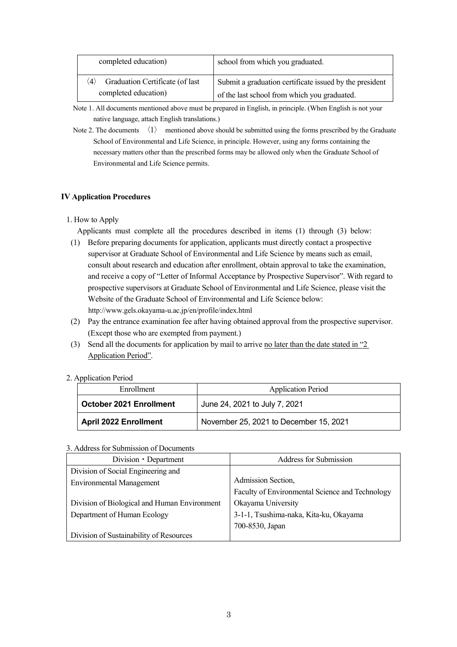| completed education)                                                           | school from which you graduated.                                                                        |
|--------------------------------------------------------------------------------|---------------------------------------------------------------------------------------------------------|
| Graduation Certificate (of last<br>$\langle 4 \rangle$<br>completed education) | Submit a graduation certificate issued by the president<br>of the last school from which you graduated. |

Note 1. All documents mentioned above must be prepared in English, in principle. (When English is not your native language, attach English translations.)

Note 2. The documents  $\langle 1 \rangle$  mentioned above should be submitted using the forms prescribed by the Graduate School of Environmental and Life Science, in principle. However, using any forms containing the necessary matters other than the prescribed forms may be allowed only when the Graduate School of Environmental and Life Science permits.

### **IV Application Procedures**

1. How to Apply

Applicants must complete all the procedures described in items (1) through (3) below:

- (1) Before preparing documents for application, applicants must directly contact a prospective supervisor at Graduate School of Environmental and Life Science by means such as email, consult about research and education after enrollment, obtain approval to take the examination, and receive a copy of "Letter of Informal Acceptance by Prospective Supervisor". With regard to prospective supervisors at Graduate School of Environmental and Life Science, please visit the Website of the Graduate School of Environmental and Life Science below: <http://www.gels.okayama-u.ac.jp/en/profile/index.html>
- (2) Pay the entrance examination fee after having obtained approval from the prospective supervisor. (Except those who are exempted from payment.)
- (3) Send all the documents for application by mail to arrive no later than the date stated in "2 Application Period".
- 2. Application Period

| Enrollment                   | <b>Application Period</b>              |
|------------------------------|----------------------------------------|
| October 2021 Enrollment      | June 24, 2021 to July 7, 2021          |
| <b>April 2022 Enrollment</b> | November 25, 2021 to December 15, 2021 |

#### 3. Address for Submission of Documents

| Division • Department                        | Address for Submission                          |
|----------------------------------------------|-------------------------------------------------|
| Division of Social Engineering and           |                                                 |
| <b>Environmental Management</b>              | Admission Section,                              |
|                                              | Faculty of Environmental Science and Technology |
| Division of Biological and Human Environment | Okayama University                              |
| Department of Human Ecology                  | 3-1-1, Tsushima-naka, Kita-ku, Okayama          |
|                                              | 700-8530, Japan                                 |
| Division of Sustainability of Resources      |                                                 |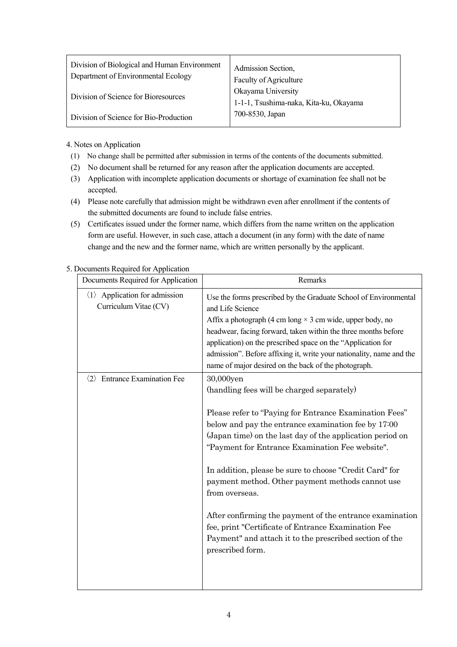| Division of Biological and Human Environment<br>Department of Environmental Ecology | Admission Section,<br>Faculty of Agriculture                 |
|-------------------------------------------------------------------------------------|--------------------------------------------------------------|
| Division of Science for Bioresources                                                | Okayama University<br>1-1-1, Tsushima-naka, Kita-ku, Okayama |
| Division of Science for Bio-Production                                              | 700-8530, Japan                                              |

4. Notes on Application

- (1) No change shall be permitted after submission in terms of the contents of the documents submitted.
- (2) No document shall be returned for any reason after the application documents are accepted.
- (3) Application with incomplete application documents or shortage of examination fee shall not be accepted.
- (4) Please note carefully that admission might be withdrawn even after enrollment if the contents of the submitted documents are found to include false entries.
- (5) Certificates issued under the former name, which differs from the name written on the application form are useful. However, in such case, attach a document (in any form) with the date of name change and the new and the former name, which are written personally by the applicant.

| 5. Documents Required for Application |  |  |  |
|---------------------------------------|--|--|--|
|                                       |  |  |  |

| Documents Required for Application                                     | Remarks                                                                                                                                                                                                                                                                                                                                                                                                                                                                                                                                                                                                                     |
|------------------------------------------------------------------------|-----------------------------------------------------------------------------------------------------------------------------------------------------------------------------------------------------------------------------------------------------------------------------------------------------------------------------------------------------------------------------------------------------------------------------------------------------------------------------------------------------------------------------------------------------------------------------------------------------------------------------|
| $\langle 1 \rangle$ Application for admission<br>Curriculum Vitae (CV) | Use the forms prescribed by the Graduate School of Environmental<br>and Life Science<br>Affix a photograph (4 cm long $\times$ 3 cm wide, upper body, no<br>headwear, facing forward, taken within the three months before<br>application) on the prescribed space on the "Application for<br>admission". Before affixing it, write your nationality, name and the<br>name of major desired on the back of the photograph.                                                                                                                                                                                                  |
| <b>Entrance Examination Fee</b><br>$\langle 2 \rangle$                 | 30,000yen<br>(handling fees will be charged separately)<br>Please refer to "Paying for Entrance Examination Fees"<br>below and pay the entrance examination fee by 17:00<br>(Japan time) on the last day of the application period on<br>"Payment for Entrance Examination Fee website".<br>In addition, please be sure to choose "Credit Card" for<br>payment method. Other payment methods cannot use<br>from overseas.<br>After confirming the payment of the entrance examination<br>fee, print "Certificate of Entrance Examination Fee<br>Payment" and attach it to the prescribed section of the<br>prescribed form. |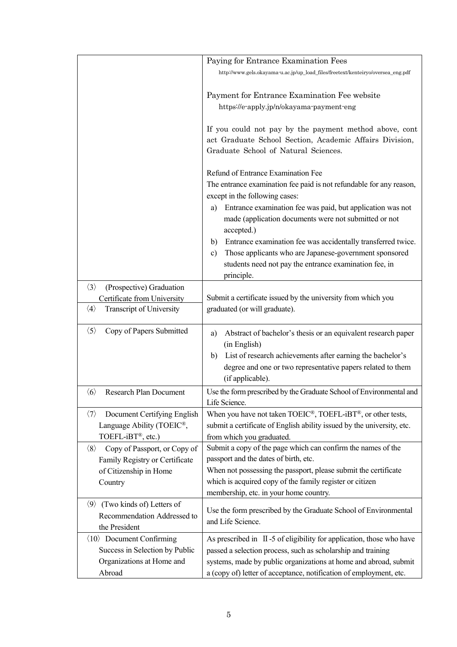|                                                     | Paying for Entrance Examination Fees                                                                                                                                                                       |
|-----------------------------------------------------|------------------------------------------------------------------------------------------------------------------------------------------------------------------------------------------------------------|
|                                                     | http://www.gels.okayama-u.ac.jp/up_load_files/freetext/kenteiryo/oversea_eng.pdf                                                                                                                           |
|                                                     |                                                                                                                                                                                                            |
|                                                     | Payment for Entrance Examination Fee website                                                                                                                                                               |
|                                                     | https://e-apply.jp/n/okayama-payment-eng                                                                                                                                                                   |
|                                                     | If you could not pay by the payment method above, cont<br>act Graduate School Section, Academic Affairs Division,<br>Graduate School of Natural Sciences.                                                  |
|                                                     | Refund of Entrance Examination Fee                                                                                                                                                                         |
|                                                     | The entrance examination fee paid is not refundable for any reason,                                                                                                                                        |
|                                                     | except in the following cases:                                                                                                                                                                             |
|                                                     | Entrance examination fee was paid, but application was not<br>a)<br>made (application documents were not submitted or not<br>accepted.)                                                                    |
|                                                     | Entrance examination fee was accidentally transferred twice.<br>b)<br>Those applicants who are Japanese-government sponsored<br>c)<br>students need not pay the entrance examination fee, in<br>principle. |
| $\langle 3 \rangle$<br>(Prospective) Graduation     |                                                                                                                                                                                                            |
| Certificate from University                         | Submit a certificate issued by the university from which you                                                                                                                                               |
| $\langle 4 \rangle$<br>Transcript of University     | graduated (or will graduate).                                                                                                                                                                              |
|                                                     |                                                                                                                                                                                                            |
| $\langle 5 \rangle$<br>Copy of Papers Submitted     | Abstract of bachelor's thesis or an equivalent research paper<br>a)                                                                                                                                        |
|                                                     | (in English)                                                                                                                                                                                               |
|                                                     | List of research achievements after earning the bachelor's<br>b)                                                                                                                                           |
|                                                     | degree and one or two representative papers related to them                                                                                                                                                |
|                                                     | (if applicable).                                                                                                                                                                                           |
| $\langle 6 \rangle$<br>Research Plan Document       | Use the form prescribed by the Graduate School of Environmental and<br>Life Science.                                                                                                                       |
| Document Certifying English<br>$\langle 7 \rangle$  | When you have not taken $TOEIC^{\circledast}$ , $TOEFL-iBT^{\circledast}$ , or other tests,                                                                                                                |
| Language Ability (TOEIC®,                           | submit a certificate of English ability issued by the university, etc.                                                                                                                                     |
| TOEFL-iBT®, etc.)                                   | from which you graduated.                                                                                                                                                                                  |
| Copy of Passport, or Copy of<br>$\langle 8 \rangle$ | Submit a copy of the page which can confirm the names of the                                                                                                                                               |
| Family Registry or Certificate                      | passport and the dates of birth, etc.                                                                                                                                                                      |
| of Citizenship in Home                              | When not possessing the passport, please submit the certificate                                                                                                                                            |
| Country                                             | which is acquired copy of the family register or citizen<br>membership, etc. in your home country.                                                                                                         |
| $\langle 9 \rangle$ (Two kinds of) Letters of       |                                                                                                                                                                                                            |
| Recommendation Addressed to                         | Use the form prescribed by the Graduate School of Environmental                                                                                                                                            |
| the President                                       | and Life Science.                                                                                                                                                                                          |
| $\langle 10 \rangle$ Document Confirming            | As prescribed in $\,$ II -5 of eligibility for application, those who have                                                                                                                                 |
| Success in Selection by Public                      | passed a selection process, such as scholarship and training                                                                                                                                               |
| Organizations at Home and                           | systems, made by public organizations at home and abroad, submit                                                                                                                                           |
| Abroad                                              | a (copy of) letter of acceptance, notification of employment, etc.                                                                                                                                         |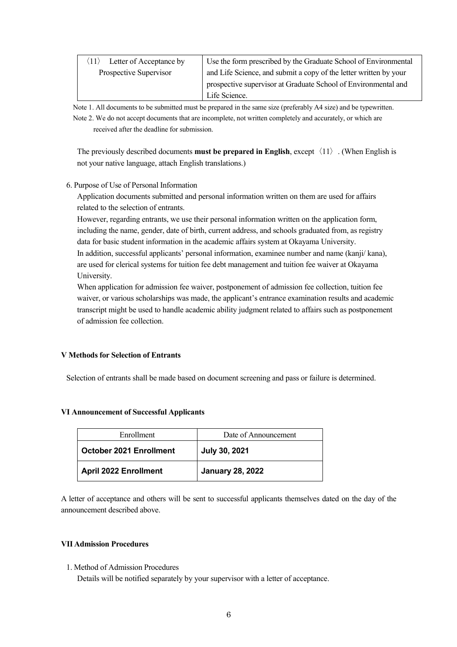| Letter of Acceptance by | Use the form prescribed by the Graduate School of Environmental   |
|-------------------------|-------------------------------------------------------------------|
| Prospective Supervisor  | and Life Science, and submit a copy of the letter written by your |
|                         | prospective supervisor at Graduate School of Environmental and    |
|                         | Life Science.                                                     |

Note 1. All documents to be submitted must be prepared in the same size (preferably A4 size) and be typewritten. Note 2. We do not accept documents that are incomplete, not written completely and accurately, or which are

received after the deadline for submission.

The previously described documents **must** be prepared in English, except  $\langle 11 \rangle$ . (When English is not your native language, attach English translations.)

#### 6. Purpose of Use of Personal Information

Application documents submitted and personal information written on them are used for affairs related to the selection of entrants.

However, regarding entrants, we use their personal information written on the application form, including the name, gender, date of birth, current address, and schools graduated from, as registry data for basic student information in the academic affairs system at Okayama University. In addition, successful applicants' personal information, examinee number and name (kanji/ kana), are used for clerical systems for tuition fee debt management and tuition fee waiver at Okayama University.

When application for admission fee waiver, postponement of admission fee collection, tuition fee waiver, or various scholarships was made, the applicant's entrance examination results and academic transcript might be used to handle academic ability judgment related to affairs such as postponement of admission fee collection.

#### **V Methods for Selection of Entrants**

Selection of entrants shall be made based on document screening and pass or failure is determined.

#### **VI Announcement of Successful Applicants**

| Enrollment                   | Date of Announcement    |
|------------------------------|-------------------------|
| October 2021 Enrollment      | <b>July 30, 2021</b>    |
| <b>April 2022 Enrollment</b> | <b>January 28, 2022</b> |

A letter of acceptance and others will be sent to successful applicants themselves dated on the day of the announcement described above.

#### **VII Admission Procedures**

1. Method of Admission Procedures

Details will be notified separately by your supervisor with a letter of acceptance.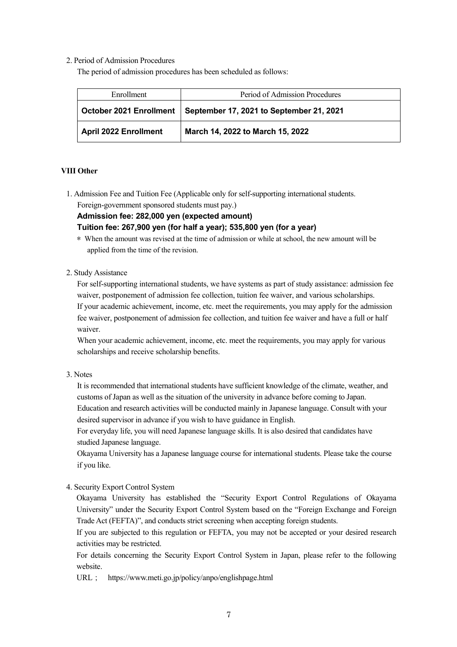#### 2. Period of Admission Procedures

The period of admission procedures has been scheduled as follows:

| Enrollment                     | Period of Admission Procedures           |  |
|--------------------------------|------------------------------------------|--|
| <b>October 2021 Enrollment</b> | September 17, 2021 to September 21, 2021 |  |
| <b>April 2022 Enrollment</b>   | March 14, 2022 to March 15, 2022         |  |

#### **VIII Other**

1. Admission Fee and Tuition Fee (Applicable only for self-supporting international students. Foreign-government sponsored students must pay.)

**Admission fee: 282,000 yen (expected amount)**

#### **Tuition fee: 267,900 yen (for half a year); 535,800 yen (for a year)**

- \* When the amount was revised at the time of admission or while at school, the new amount will be applied from the time of the revision.
- 2. Study Assistance

For self-supporting international students, we have systems as part of study assistance: admission fee waiver, postponement of admission fee collection, tuition fee waiver, and various scholarships. If your academic achievement, income, etc. meet the requirements, you may apply for the admission fee waiver, postponement of admission fee collection, and tuition fee waiver and have a full or half waiver.

When your academic achievement, income, etc. meet the requirements, you may apply for various scholarships and receive scholarship benefits.

#### 3. Notes

It is recommended that international students have sufficient knowledge of the climate, weather, and customs of Japan as well as the situation of the university in advance before coming to Japan. Education and research activities will be conducted mainly in Japanese language. Consult with your desired supervisor in advance if you wish to have guidance in English.

For everyday life, you will need Japanese language skills. It is also desired that candidates have studied Japanese language.

Okayama University has a Japanese language course for international students. Please take the course if you like.

4. Security Export Control System

Okayama University has established the "Security Export Control Regulations of Okayama University" under the Security Export Control System based on the "Foreign Exchange and Foreign Trade Act (FEFTA)", and conducts strict screening when accepting foreign students.

If you are subjected to this regulation or FEFTA, you may not be accepted or your desired research activities may be restricted.

For details concerning the Security Export Control System in Japan, please refer to the following website.

URL; <https://www.meti.go.jp/policy/anpo/englishpage.html>